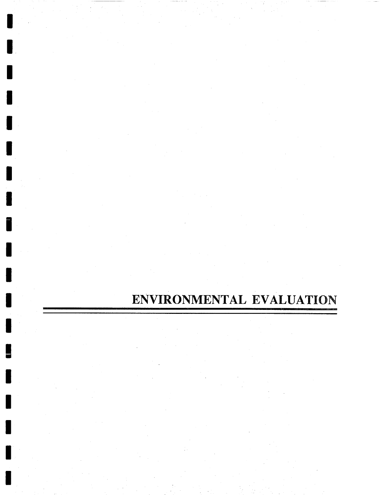# ENVIRONMENTAL **EVALUATION**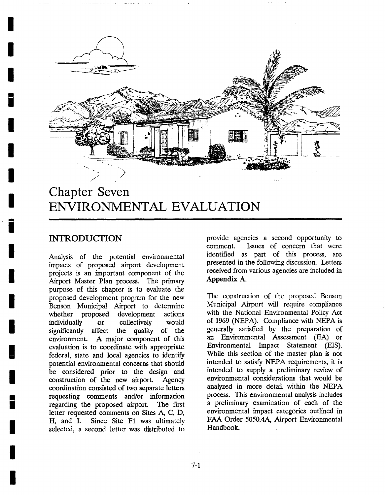

# **! Chapter Seven ENVIRONMENTAL EVAI JUATION**

# INTRODUCTION

**!** 

**!** 

**i** 

**I** 

**I** 

**I** 

**I** 

**!** 

**I** 

**I** 

**I** 

**!** 

**!** 

Analysis of the potential environmental impacts of proposed airport development projects is an important component of the Airport Master Plan process. The primary purpose of this chapter is to evaluate the proposed development program for the new Benson Municipal Airport to determine whether proposed development actions individually or collectively would significantly affect the quality of the environment. A major component of this evaluation is to coordinate with appropriate federal, state and local agencies to identify potential environmental concerns that should be considered prior to the design and construction of the new airport. Agency coordination consisted of two separate letters requesting comments and/or information regarding the proposed airport. The first letter requested comments on Sites A, C, D, H, and I. Since Site F1 was ultimately selected, a second letter was distributed to provide agencies a second opportunity to comment. Issues of concern that were identified as part of this process, are presented in the following discussion. Letters received from various agencies are included in Appendix A.

The construction of the proposed Benson Municipal Airport will require compliance with the National Environmental Policy Act of 1969 (NEPA). Compliance with NEPA is generally satisfied by the preparation of an Environmental Assessment (EA) or Environmental Impact Statement (EIS). While this section of the master plan is not intended to satisfy NEPA requirements, it is intended to supply a preliminary review of environmental considerations that would be analyzed in more detail within the NEPA process. This environmental analysis includes a preliminary examination of each of the environmental impact categories outlined in FAA Order 5050.4A, Airport Environmental Handbook.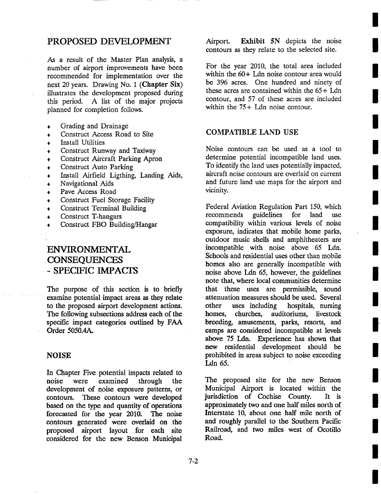# **PROPOSED DEVELOPMENT**

As a result of the Master Plan analysis, a number of airport improvements have been recommended for implementation over the next 20 years. Drawing No. 1 (Chapter Six) illustrates the development proposed during this period. A list of the major projects planned for completion follows.

- Grading and Drainage
- Construct Access Road to Site
- Install Utilities
- Construct Runway and Taxiway
- Construct Aircraft Parking Apron
- Construct Auto Parking
- Install Airfield Ligthing, Landing Aids,
- Navigational Aids
- Pave Access Road
- Construct Fuel Storage Facility
- Construct Terminal Building
- Construct T-hangars
- Construct FBO Building/Hangar

# **ENVIRONMENTAL CONSEQUENCES - SPECIFIC IMPACI'S**

The purpose of this section is to briefly examine potential impact areas as they relate to the proposed airport development actions. The following subsections address each of the specific impact categories outlined by FAA Order 5050.4A.

#### **NOISE**

In Chapter Five potential impacts related to noise were examined through the development of noise exposure patterns, or contours. These contours were developed based on the type and quantity of operations forecasted for the year 2010. The noise contours generated were overlaid on the proposed airport layout for each site considered for the new Benson Municipal Airport. Exhibit 5N depicts the noise contours as they relate to the selected site.

For the year 2010, the total area included within the 60+ Ldn noise contour area would be 396 acres. One hundred and ninety of these acres are contained within the 65 + Ldn contour, and 57 of these acres are included within the 75+ Ldn noise contour.

#### COMPATIBLE LAND USE

Noise contours can be used as a tool to determine potential incompatible land uses. To identify the land uses potentially impacted, aircraft noise contours are overlaid on current and future land use maps for the airport and vicinity.

Federal Aviation Regulation Part 150, which recommends guidelines for land use compatibility within various levels of noise exposure, indicates that mobile home parks, outdoor music shells and amphitheaters are incompatible with noise above 65 Ldn. Schools and residential uses other than mobile homes also are generally incompatible with noise above Ldn 65, however, the guidelines note that, where local communities determine that these uses are permissible, sound attenuation measures should be used. Several other uses including hospitals, nursing homes, churches, auditoriums, livestock breeding, amusements, parks, resorts, and camps are considered incompatible at levels above 75 Ldn. Experience has shown that new residential development should be prohibited in areas subject to noise exceeding Ldn 65.

The proposed site for the new Benson Municipal Airport is located within the jurisdiction of Cochise County. It is approximately two and one half miles north of Interstate 10, about one half mile north of and roughly parallel to the Southern Pacific Railroad, and two miles west of Ocotillo Road.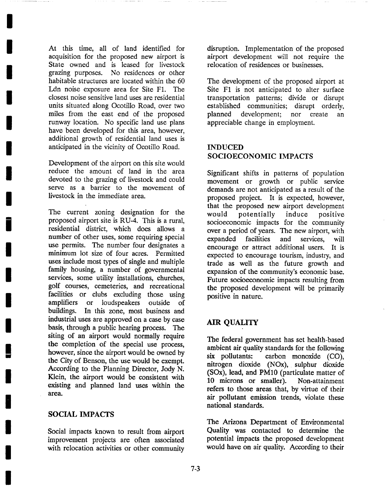At this time, all of land identified for acquisition for the proposed new airport is State owned and is leased for livestock grazing purposes. No residences or other habitable structures are located within the 60 Ldn noise exposure area for Site F1. The closest noise sensitive land uses are residential units situated along Ocotillo Road, over two miles from the east end of the proposed runway location. No specific land use plans have been developed for this area, however, additional growth of residential land uses is anticipated in the vicinity of Ocotillo Road.

Development of the airport on this site would reduce the amount of land in the area devoted to the grazing of livestock and could serve as a barrier to the movement of livestock in the immediate area.

The current zoning designation for the proposed airport site is RU-4. This is a rural, residential district, which does allows a number of other uses, some requiring special use permits. The number four designates a minimum lot size of four acres. Permitted uses include most types of single and multiple family housing, a number of governmental services, some utility installations, churches, golf courses, cemeteries, and recreational facilities or clubs excluding those using amplifiers or loudspeakers outside of buildings. In this zone, most business and industrial uses are approved on a case by case basis, through a public hearing process. The siting of an airport would normally require the completion of the special use process, however, since the airport would be owned by the City of Benson, the use would be exempt. According to the Planning Director, Jody N. Klein, the airport would be consistent with existing and planned land uses within the area.

#### SOCIAL IMPACTS

Social impacts known to result from airport improvement projects are often associated with relocation activities or other community disruption. Implementation of the proposed airport development will not require the relocation of residences or businesses.

The development of the proposed airport at Site F1 is not anticipated to alter surface transportation patterns; divide or disrupt established communities; disrupt orderly, planned development; nor create an appreciable change in employment.

# INDUCED SOCIOECONOMIC IMPACTS

Significant shifts in patterns of population movement or growth or public service demands are not anticipated as a result of the proposed project. It is expected, however, that the proposed new airport development would potentially induce positive socioeconomic impacts for the community over a period of years. The new airport, with expanded facilities and services, will encourage or attract additional users. It is expected to encourage tourism, industry, and trade as well as the future growth and expansion of the community's economic base. Future socioeconomic impacts resulting from the proposed development will be primarily positive in nature.

# AIR QUALITY

The federal government has set health-based ambient air quality standards for the following six pollutants: carbon monoxide (CO), nitrogen dioxide (NOx), sulphur dioxide (SOx), lead, and PM10 (particulate matter of 10 microns or smaller). Non-attainment refers to those areas that, by virtue of their air pollutant emission trends, violate these national standards.

The Arizona Department of Environmental Quality was contacted to determine the potential impacts the proposed development would have on air quality. According to their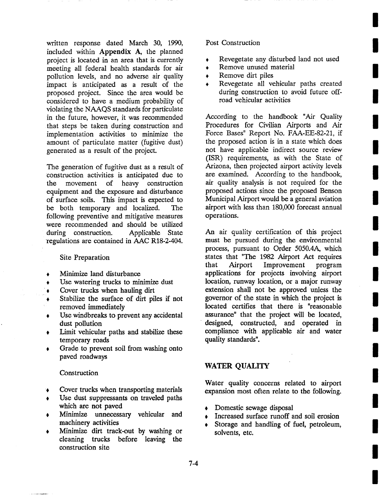written response dated March 30, 1990, included within Appendix A, the planned project is located in an area that is currently meeting all federal health standards for air pollution levels, and no adverse air quality impact is anticipated as a result of the proposed project. Since the area would be considered to have a medium probability of violating the NAAQS standards for particulate in the future, however, it was recommended that steps be taken during construction and implementation activities to minimize the amount of particulate matter (fugitive dust) generated as a result of the project.

The generation of fugitive dust as a result of construction activities is anticipated due to the movement of heavy construction equipment and the exposure and disturbance of surface soils. This impact is expected to be both temporary and localized. The following preventive and mitigative measures were recommended and should be utilized during construction. Applicable State 'regulations are contained in AAC R18-2-404.

#### Site Preparation

- , Minimize land disturbance
- Use watering trucks to minimize dust
- , Cover trucks when hauling dirt
- Stabilize the surface of dirt piles if not removed immediately
- Use windbreaks to prevent any accidental dust pollution
- Limit vehicular paths and stabilize these temporary roads
- , Grade to prevent soil from washing onto paved roadways

#### Construction

- , Cover trucks when transporting materials
- Use dust suppressants on traveled paths which are not paved
- , Minimize unnecessary vehicular and machinery activities
- Minimize dirt track-out by washing or cleaning trucks before leaving the construction site

#### Post Construction

- , Revegetate any disturbed land not used
- Remove unused material
- Remove dirt piles
- , Revegetate all vehicular paths created during construction to avoid future offroad vehicular activities

According to the handbook "Air Quality Procedures for Civilian Airports and Air Force Bases" Report No. FAA-EE-82-21, if the proposed action is in a state which does not have applicable indirect source review (ISR) requirements, as with the State of Arizona, then projected airport activity levels are examined. According to the handbook, air quality analysis is not required for the proposed actions since the proposed Benson Municipal Airport would be a general aviation airport with less than 180,000 forecast annual operations.

An air quality certification of this project must be pursued during the environmental process, pursuant to Order 5050.4A, which states that "The 1982 Airport Act requires that Airport Improvement program applications for projects involving airport location, runway location, or a major runway extension shall not be approved unless the governor of the state in which the project is located certifies that there is "reasonable assurance" that the project will be located, designed, constructed, and operated in compliance with applicable air and water quality standards".

# WATER QUALITY

Water quality concerns related to airport expansion most often relate to the following.

- Domestic sewage disposal
- Increased surface runoff and soil erosion
- Storage and handling of fuel, petroleum, solvents, etc.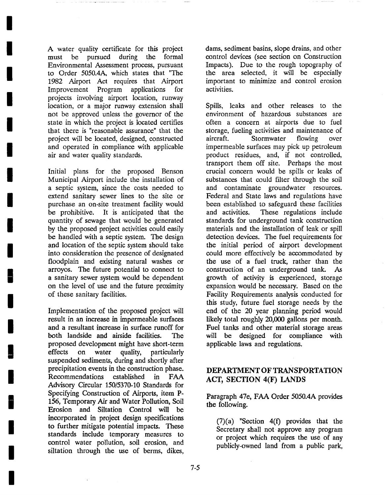A water quality certificate for this project must be pursued during the formal Environmental Assessment process, pursuant to Order 5050.4A, which states that "The 1982 Airport Act requires that Airport Improvement Program applications for projects involving airport location, runway location, or a major runway extension shall not be approved unless the governor of the state in which the project is located certifies that there is "reasonable assurance" that the project will be located, designed, constructed and operated in compliance with applicable air and water quality standards.

**I** 

**I** 

**I** 

**I** 

**I** 

**I** 

**I** 

**I** 

**I** 

**I** 

**I** 

**I** 

**I** 

**!** 

**I** 

**I** 

**I** 

**I** 

**I** 

Initial plans for the proposed Benson Municipal Airport include the installation of a septic system, since the costs needed to extend sanitary sewer lines to the site or purchase an on-site treatment facility would be prohibitive. It is anticipated that the quantity of sewage that would be generated by the proposed project activities could easily be handled with a septic system. The design and location of the septic system should take into consideration the presence of designated floodplain and existing natural washes or arroyos. The future potential to connect to a sanitary sewer system would be dependent on the level of use and the future proximity of these sanitary facilities.

Implementation of the proposed project will result in an increase in impermeable surfaces and a resultant increase in surface runoff for both landside and airside facilities. The proposed development might have short-term effects on water quality, particularly suspended sediments, during and shortly after precipitation events in the construction phase. Recommendations established in FAA Advisory Circular 150/5370-10 Standards for Specifying Construction of Airports, item P-156, Temporary Air and Water Pollution, Soil Erosion and Siltation Control will be incorporated in project design specifications to further mitigate potential impacts. These standards include temporary measures to control water pollution, soil erosion, and siltation through the use of berms, dikes,

dams, sediment basins, slope drains, and other control devices (see section on Construction Impacts). Due to the rough topography of the area selected, it will be especially important to minimize and control erosion activities.

Spills, leaks and other releases to the environment of hazardous substances are often a concern at airports due to fuel storage, fueling activities and maintenance of aircraft. Stormwater flowing over impermeable surfaces may pick up petroleum product residues, and, if not controlled, transport them off site. Perhaps the most crucial concern would be spills or leaks of substances that could filter through the soil and contaminate groundwater resources. Federal and State laws and regulations have been established to safeguard these facilities and activities. These regulations include standards for underground tank construction materials and the installation of leak or spill detection devices. The fuel requirements for the initial period of airport development could more effectively be accommodated by the use of a fuel truck, rather than the construction of an underground tank. As growth of activity is experienced, storage expansion would be necessary. Based on the Facility Requirements analysis conducted for this study, future fuel storage needs by the end of the 20 year planning period would likely total roughly 20,000 gallons per month. Fuel tanks and other material storage areas will be designed for compliance with applicable laws and regulations.

# DEPARTMENT OF TRANSPORTATION ACT, SECTION 4(F) LANDS

Paragraph 47e, FAA Order 5050.4A provides the following.

 $(7)(a)$  "Section  $4(f)$  provides that the Secretary shall not approve any program or project which requires the use of any publicly-owned land from a public park,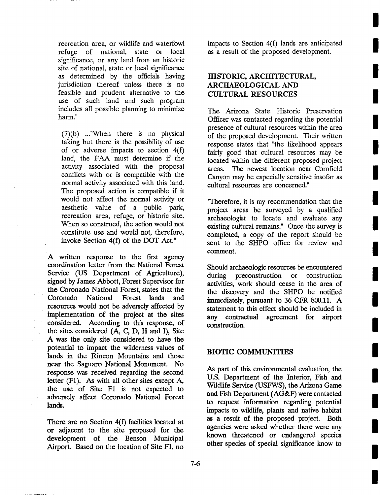recreation area, or wildlife and waterfowl refuge of national, state or local significance, or any land from an historic site of national, state or local significance as determined by the officials having jurisdiction thereof unless there is no feasible and prudent alternative to the use of such land and such program includes all possible planning to minimize harm."

(7)(b) ..."When there is no physical taking but there is the possibility of use of or adverse impacts to section 4(f) land, the FAA must determine if the activity associated with the proposal conflicts with or is compatible with the normal activity associated with this land. The proposed action is compatible if it would not affect the normal activity or aesthetic value of a public park, recreation area, refuge, or historic site. When so construed, the action would not constitute use and would not, therefore, invoke Section 4(f) of the DOT Act."

A written response to the first agency coordination letter from the National Forest Service (US Department of Agriculture), signed by James Abbott, Forest Supervisor for the Coronado National Forest, states that the Coronado National Forest lands and resources would not be adversely affected by implementation of the project at the sites considered. According to this response, of the sites considered (A, C, D, H and I), Site A was the only site considered to have the potential to impact the wilderness values of lands in the Rincon Mountains and those near the Saguaro National Monument. No response was received regarding the second letter (F1). As with all other sites except A, the use of Site F1 is not expected to adversely affect Coronado National Forest lands.

There are no Section  $4(f)$  facilities located at or adjacent to the site proposed for the development of the Benson Municipal Airport. Based on the location of Site F1, no

impacts to Section 4(f) lands are anticipated as a result of the proposed development.

# HISTORIC, ARCHITECTURAL, ARCHAEOLOGICAL AND CULTURAL RESOURCES

The Arizona State Historic Preservation Officer was contacted regarding the potential presence of cultural resources within the area of the proposed development. Their written response states that "the likelihood appears fairly good that cultural resources may be located within the different proposed project areas. The newest location near Cornfield Canyon may be especially sensitive insofar as cultural resources are concerned."

"Therefore, it is my recommendation that the project areas be surveyed by a qualified archaeologist to locate and evaluate any existing cultural remains." Once the survey is completed, a copy of the report should be sent to the SHPO office for review and comment.

Should archaeologic resources be encountered during preconstruction or construction activities, work should cease in the area of the discovery and the SHPO be notified immediately, pursuant to 36 CFR 800.11. A statement to this effect should be included in any contractual agreement for airport construction.

### BIOTIC COMMUNITIES

As part of this environmental evaluation, the U.S. Department of the Interior, Fish and Wildlife Service (USFWS), the Arizona Game and Fish Department (AG&F) were contacted to request information regarding potential impacts to wildlife, plants and native habitat as a result of the proposed project. Both agencies were asked whether there were any known threatened or endangered species other species of special significance know to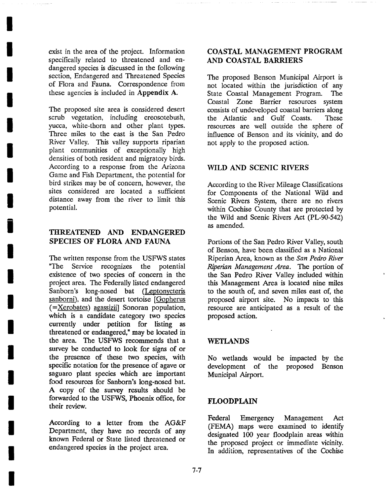exist in the area of the project. Information specifically related to threatened and endangered species is discussed in the following section, Endangered and Threatened Species of Flora and Fauna. Correspondence from these agencies is included in Appendix A.

**I** 

**I** 

**I** 

**I** 

**I** 

**I** 

**I** 

**I** 

**1** 

**I** 

**I** 

**I** 

**I** 

**I** 

**I** 

**I** 

**I** 

**I** 

**I** 

The proposed site area is considered desert scrub vegetation, including creosotebush, yucca, white-thorn and other plant types. Three miles to the east is the San Pedro River Valley. This valley supports riparian plant communities of exceptionally high densities of both resident and migratory birds. According to a response from the Arizona Game and Fish Department, the potential for bird strikes may be of concern, however, the sites considered are located a sufficient distance away from the river to limit this potential.

# THREATENED AND ENDANGERED SPECIES OF FLORA AND FAUNA

The written response from the USFWS states "The Service recognizes the potential existence of two species of concern in the project area. The Federally listed endangered Sanborn's long-nosed bat (Leptonycteris sanborni), and the desert tortoise [Gopherus]  $(=\underline{\text{Xerobates}})$  agassizii] Sonoran population, which is a candidate category two species currently under petition for listing as threatened or endangered," may be located in the area. The USFWS recommends that a survey be conducted to look for signs of or the presence of these two species, with specific notation for the presence of agave or saguaro plant species which are important food resources for Sanborn's long-nosed bat. A copy of the survey results should be forwarded to the USFWS, Phoenix office, for their review.

According to a letter from the AG&F Department, they have no records of any known Federal or State listed threatened or endangered species in the project area.

# COASTAL MANAGEMENT PROGRAM AND COASTAL BARRIERS

The proposed Benson Municipal Airport is not located within the jurisdiction of any State Coastal Management Program. The Coastal Zone Barrier resources system consists of undeveloped coastal barriers along the Atlantic and Gulf Coasts. These resources are well outside the sphere of influence of Benson and its vicinity, and do not apply to the proposed action.

# WILD AND SCENIC RIVERS

According to the River Mileage Classifications for Components of the National Wild and Scenic Rivers System, there are no rivers within Cochise County that are protected by the Wild and Scenic Rivers Act (PL-90-542) as amended.

Portions of the San Pedro River Valley, south of Benson, have been classified as a National Riperian Area, known as the *San Pedro River Riperian Management Area.* The portion of the San Pedro River Valley included within this Management Area is located nine miles to the south of, and seven miles east of, the proposed airport site. No impacts to this resource are anticipated as a result of the proposed action.

#### WETLANDS

No wetlands would be impacted by the development of the proposed Benson Municipal Airport.

### FLOODPLAIN

Federal Emergency Management Act (FEMA) maps were examined to identify designated 100 year floodplain areas within the proposed project or immediate vicinity. In addition, representatives of the Cochise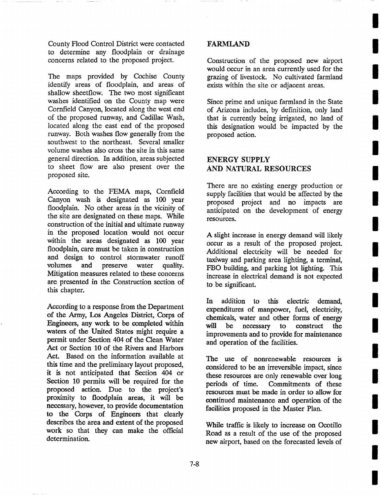County Flood Control District were contacted to determine any floodplain or drainage concerns related to the proposed project.

The maps provided by Cochise County identify areas of floodplain, and areas of shallow sheetflow. The two most significant washes identified on the County map were Cornfield Canyon, located along the west end of the proposed runway, and Cadillac Wash, located along the east end of the proposed runway. Both washes flow generally from the southwest to the northeast. Several smaller volume washes also cross the site in this same general direction. In addition, areas subjected to sheet flow are also present over the proposed site.

According to the FEMA maps, Cornfield Canyon wash is designated as 100 year floodplain. No other areas in the vicinity of the site are designated on these maps. While construction of the initial and ultimate runway in the proposed location would not occur within the areas designated as 100 year floodplain, care must be taken in construction and design to control stormwater runoff volumes and preserve water quality. Mitigation measures related to these concerns are presented in the Construction section of this chapter.

According to a response from the Department of the Army, Los Angeles District, Corps of Engineers, any work to be completed within waters of the United States might require a permit under Section 404 of the Clean Water Act or Section 10 of the Rivers and Harbors Act. Based on the information available at this time and the preliminary layout proposed, it is not anticipated that Section 404 or Section 10 permits will be required for the proposed action. Due to the project's proximity to floodplain areas, it will be necessary, however, to provide documentation to the Corps of Engineers that clearly describes the area and extent of the proposed work so that they can make the official determination.

# **FARMLAND**

Construction of the proposed new airport would occur in an area currently used for the grazing of livestock. No cultivated farmland exists within the site or adjacent areas.

Since prime and unique farmland in the State of Arizona includes, by definition, only land that is currently being irrigated, no land of this designation would be impacted by the proposed action.

# **ENERGY SUPPLY**  AND NATURAL RESOURCES

There are no existing energy production or supply facilities that would be affected by the proposed project and no impacts are anticipated on the development of energy resources.

A slight increase in energy demand will likely occur as a result of the proposed project. Additional electricity will be needed for taxiway and parking area lighting, a terminal, FBO building, and parking lot lighting. This increase in electrical demand is not expected to be significant.

In addition to this electric demand, expenditures of manpower, fuel, electricity, chemicals, water and other forms of energy will be necessary to construct the improvements and to provide for maintenance and operation of the facilities.

The use of nonrenewable resources is considered to be an irreversible impact, since these resources are only renewable over long periods of time. Commitments of these resources must be made in order to allow for continued maintenance and operation of the facilities proposed in the Master Plan.

While traffic is likely to increase on Ocotillo Road as a result of the use of the proposed new airport, based on the forecasted levels of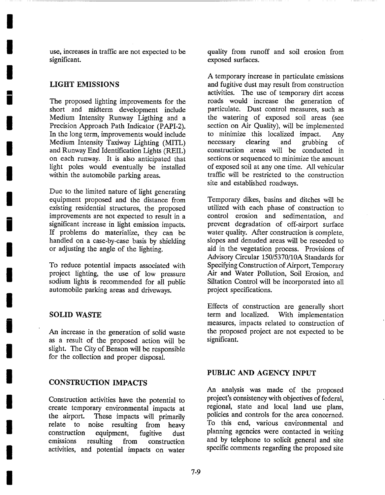use, increases in traffic are not expected to be significant.

### LIGHT EMISSIONS

**I** 

**I** 

**I** 

**!** 

**I** 

**I** 

**I** 

**I** 

**i** 

**I** 

**I** 

**I** 

**I** 

**I** 

**I** 

**I** 

**I** 

**I** 

**I** 

The proposed lighting improvements for the short and midterm development include Medium Intensity Runway Ligthing and a Precision Approach Path Indicator (PAPI-2). In the long term, improvements would include Medium Intensity Taxiway Lighting (MITL) and Runway End Identification Lights (REIL) on each runway. It is also anticipated that light poles would eventually be installed within the automobile parking areas.

Due to the limited nature of light generating equipment proposed and the distance from existing residential structures, the proposed improvements are not expected to result in a significant increase in light emission impacts. If problems do materialize, they can be handled on a case-by-case basis by shielding or adjusting the angle of the lighting.

To reduce potential impacts associated with project lighting, the use of low pressure sodium lights is recommended for all public automobile parking areas and driveways.

#### SOLID WASTE

An increase in the generation of solid waste as a result of the proposed action will be slight. The City of Benson will be responsible for the collection and proper disposal.

#### CONSTRUCTION IMPACTS

Construction activities have the potential to create temporary environmental impacts at the airport. These impacts will primarily relate to noise resulting from heavy construction equipment, fugitive dust emissions resulting from construction activities, and potential impacts on water

quality from runoff and soil erosion from exposed surfaces.

A temporary increase in particulate emissions and fugitive dust may result from construction activities. The use of temporary dirt access roads would increase the generation of particulate. Dust control measures, such as the watering of exposed soil areas (see section on Air Quality), will be implemented to minimize this localized impact. Any necessary clearing and grubbing of construction areas will be conducted in sections or sequenced to minimize the amount of exposed soil at any one time. All vehicular traffic will be restricted to the construction site and established roadways.

Temporary dikes, basins and ditches will be utilized with each phase of construction to control erosion and sedimentation, and prevent degradation of off-airport surface water quality. After construction is complete, slopes and denuded areas will be reseeded to aid in the vegetation process. Provisions of Advisory Circular *150/5370/10A* Standards for Specifying Construction of Airport, Temporary Air and Water Pollution, Soil Erosion, and Siltation Control will be incorporated into all project specifications.

Effects of construction are generally short term and localized. With implementation measures, impacts related to construction of the proposed project are not expected to be significant.

#### PUBLIC AND AGENCY INPUT

An analysis was made of the proposed project's consistency with objectives of federal, regional, state and local land use plans, policies and controls for the area concerned. To this end, various environmental and planning agencies were contacted in writing and by telephone to solicit general and site specific comments regarding the proposed site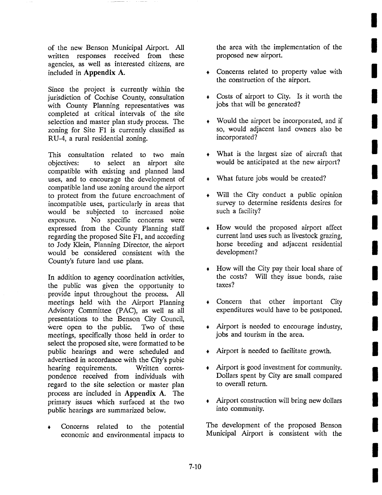of the new Benson Municipal Airport. All written responses received from these agencies, as well as interested citizens, are included in Appendix A.

Since the project is currently within the jurisdiction of Cochise County, consultation with County Planning representatives was completed at critical intervals of the site selection and master plan study process. The zoning for Site F1 is currently classified as RU-4, a rural residential zoning.

This consultation related to two main objectives: to select an airport site compatible with existing and planned land uses, and to encourage the development of compatible land use zoning around the airport to protect from the future encroachment of incompatible uses, particularly in areas that would be subjected to increased noise exposure. No specific concerns were expressed from the County Planning staff regarding the proposed Site F1, and according to Jody Klein, Planning Director, the airport would be considered consistent with the County's future land use plans.

In addition to agency coordination activities, the public was given the opportunity to provide input throughout the process. All meetings held with the Airport Planning Advisory Committee (PAC), as well as all presentations to the Benson City Council, were open to the public. Two of these meetings, specifically those held in order to select the proposed site, were formatted to be public hearings and were scheduled and advertised in accordance with the City's pubic hearing requirements. Written correspondence received from individuals with regard to the site selection or master plan process are included in Appendix A. The primary issues which surfaced at the two public hearings are summarized below.

Concerns related to the potential economic and environmental impacts to

the area with the implementation of the proposed new airport.

- , Concerns related to property value with the construction of the airport.
- , Costs of airport to City. Is it worth the jobs that will be generated?
- Would the airport be incorporated, and if so, would adjacent land owners also be incorporated?
- , What is the largest size of aircraft that would be anticipated at the new airport?
- , What future jobs would be created?
- Will the City conduct a public opinion survey to determine residents desires for such a facility?
- How would the proposed airport affect current land uses such as livestock grazing, horse breeding and adjacent residential development?
- How will the City pay their local share of the costs? Will they issue bonds, raise taxes?
- , Concern that other important City expenditures would have to be postponed.
- , Airport is needed to encourage industry, jobs and tourism in the area.
- , Airport is needed to facilitate growth.
- Airport is good investment for community. Dollars spent by City are small compared to overall return.
- , Airport construction will bring new dollars into community.

The development of the proposed Benson Municipal Airport is consistent with the